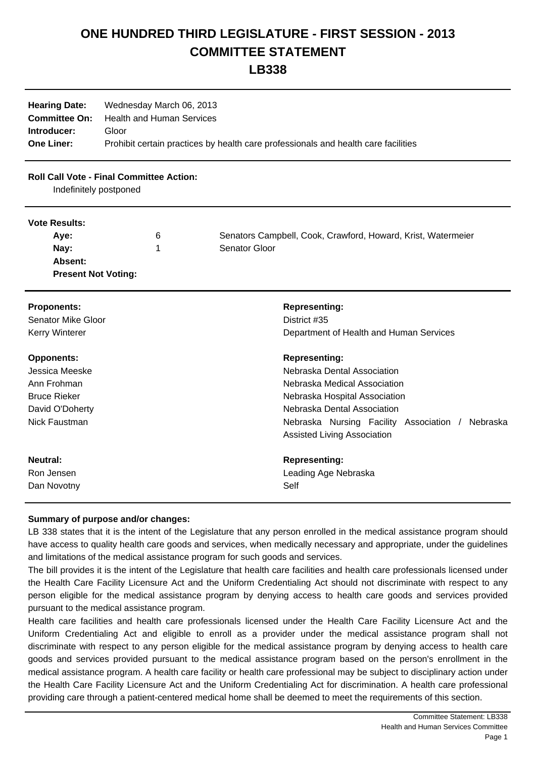## **ONE HUNDRED THIRD LEGISLATURE - FIRST SESSION - 2013 COMMITTEE STATEMENT**

**LB338**

| <b>Hearing Date:</b> | Wednesday March 06, 2013                                                           |
|----------------------|------------------------------------------------------------------------------------|
|                      | <b>Committee On:</b> Health and Human Services                                     |
| Introducer:          | Gloor                                                                              |
| <b>One Liner:</b>    | Prohibit certain practices by health care professionals and health care facilities |

## **Roll Call Vote - Final Committee Action:**

Indefinitely postponed

## **Vote Results:**

| Ave:                       | b | Senators Campbell, Cook, Crawford, Howard, Krist, Watermeier |
|----------------------------|---|--------------------------------------------------------------|
| Nay:                       |   | Senator Gloor                                                |
| Absent:                    |   |                                                              |
| <b>Present Not Voting:</b> |   |                                                              |

| <b>Proponents:</b>                                                                                            | <b>Representing:</b>                                                                                                                                                                                                                      |
|---------------------------------------------------------------------------------------------------------------|-------------------------------------------------------------------------------------------------------------------------------------------------------------------------------------------------------------------------------------------|
| Senator Mike Gloor                                                                                            | District #35                                                                                                                                                                                                                              |
| Kerry Winterer                                                                                                | Department of Health and Human Services                                                                                                                                                                                                   |
| <b>Opponents:</b><br>Jessica Meeske<br>Ann Frohman<br><b>Bruce Rieker</b><br>David O'Doherty<br>Nick Faustman | <b>Representing:</b><br>Nebraska Dental Association<br>Nebraska Medical Association<br>Nebraska Hospital Association<br>Nebraska Dental Association<br>Nebraska Nursing Facility Association /<br>Nebraska<br>Assisted Living Association |
| Neutral:                                                                                                      | <b>Representing:</b>                                                                                                                                                                                                                      |
| Ron Jensen                                                                                                    | Leading Age Nebraska                                                                                                                                                                                                                      |
| Dan Novotny                                                                                                   | Self                                                                                                                                                                                                                                      |

## **Summary of purpose and/or changes:**

LB 338 states that it is the intent of the Legislature that any person enrolled in the medical assistance program should have access to quality health care goods and services, when medically necessary and appropriate, under the guidelines and limitations of the medical assistance program for such goods and services.

The bill provides it is the intent of the Legislature that health care facilities and health care professionals licensed under the Health Care Facility Licensure Act and the Uniform Credentialing Act should not discriminate with respect to any person eligible for the medical assistance program by denying access to health care goods and services provided pursuant to the medical assistance program.

Health care facilities and health care professionals licensed under the Health Care Facility Licensure Act and the Uniform Credentialing Act and eligible to enroll as a provider under the medical assistance program shall not discriminate with respect to any person eligible for the medical assistance program by denying access to health care goods and services provided pursuant to the medical assistance program based on the person's enrollment in the medical assistance program. A health care facility or health care professional may be subject to disciplinary action under the Health Care Facility Licensure Act and the Uniform Credentialing Act for discrimination. A health care professional providing care through a patient-centered medical home shall be deemed to meet the requirements of this section.